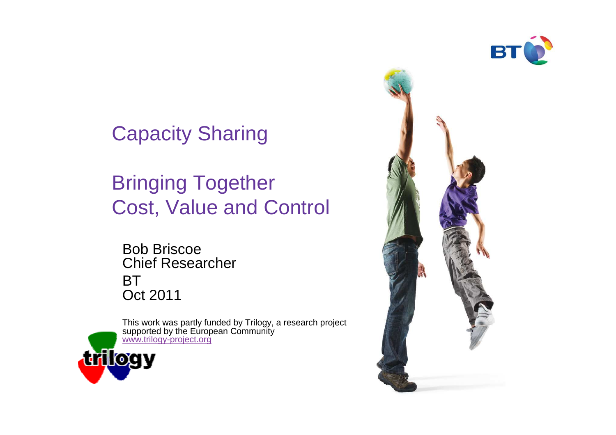

Capacity Sharing

Bringing Together Cost, Value and Control

Bob Briscoe Chief ResearcherBT Oct 2011

This work was partly funded by Trilogy, a research project supported by the European Community<br><u>www.trilogy-project.org</u>



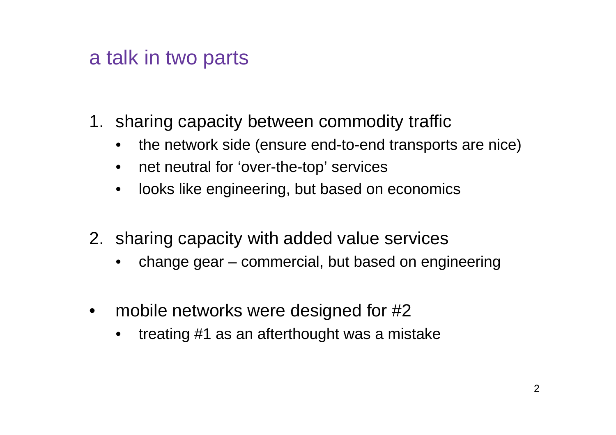## a talk in two parts

- 1. sharing capacity between commodity traffic
	- $\bullet$ the network side (ensure end-to-end transports are nice)
	- $\bullet$ net neutral for 'over-the-top' services
	- $\bullet$ looks like engineering, but based on economics
- 2. sharing capacity with added value services
	- $\bullet$ change gear – commercial, but based on engineering
- • mobile networks were designed for #2
	- treating #1 as an afterthought was a mistake•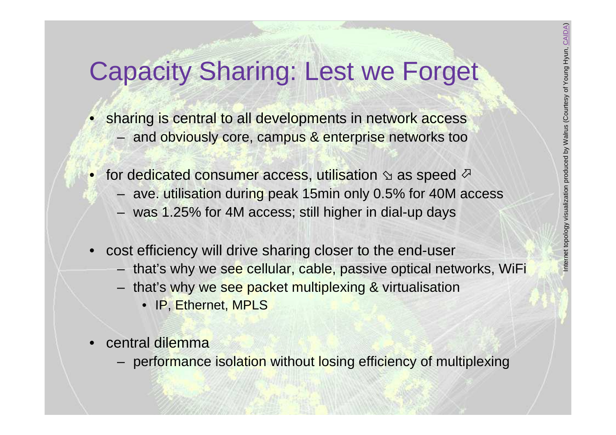# Capacity Sharing: Lest we Forget

- sharing is central to all developments in network access– and obviously core, campus & enterprise networks too
- for dedicated consumer access, utilisation  $\gamma$  as speed  $\delta$ 
	- ave. utilisation during peak 15min only 0.5% for 40M access
	- was 1.25% for 4M access; still higher in dial-up days
- • cost efficiency will drive sharing closer to the end-user
	- that's why we se<mark>e cellular, cable, passive optical networks, WiF</mark>i
	- that's why we see packet multiplexing & virtualisation
		- IP, Ethernet, MPLS
- • central dilemma
	- performance isolation without losing efficiency of multiplexing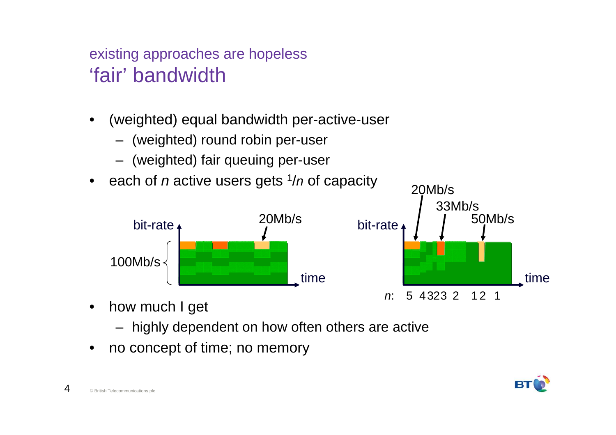### existing approaches are hopeless'fair' bandwidth

- • (weighted) equal bandwidth per-active-user
	- (weighted) round robin per-user
	- (weighted) fair queuing per-user
- each of *n* active users gets  $1/n$  of capacity





- $\bullet$  how much I get
	- highly dependent on how often others are active
- •no concept of time; no memory



4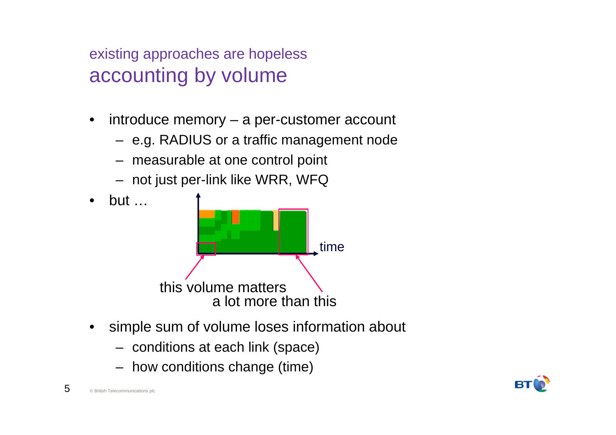### existing approaches are hopelessaccounting by volume

- • introduce memory – a per-customer account
	- e.g. RADIUS or a traffic management node
	- measurable at one control point
	- not just per-link like WRR, WFQ
- but …timethis volume matters a lot more than this
- • simple sum of volume loses information about
	- conditions at each link (space)
	- how conditions change (time)

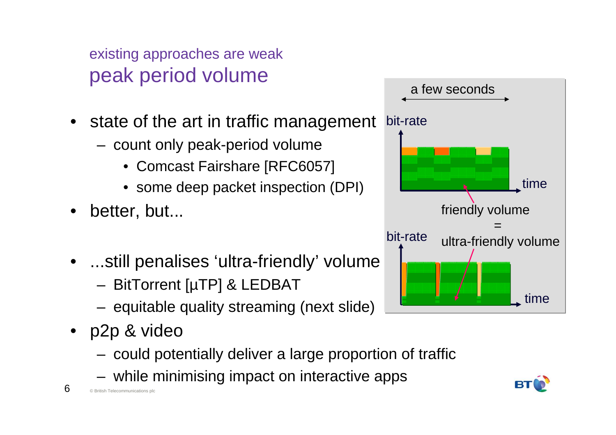existing approaches are weakpeak period volume

- $\bullet$  state of the art in traffic management
	- count only peak-period volume
		- Comcast Fairshare [RFC6057]
		- some deep packet inspection (DPI)
- •better, but...
- ...still penalises 'ultra-friendly' volume
	- BitTorrent [µTP] & LEDBAT
	- equitable quality streaming (next slide)
- p2p & video
	- could potentially deliver a large proportion of traffic
	- while minimising impact on interactive apps



6

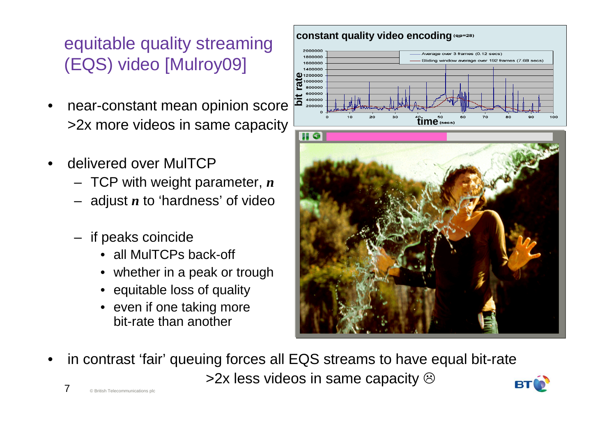## equitable quality streaming (EQS) video [Mulroy09]

- • near-constant mean opinion score>2x more videos in same capacity
- • delivered over MulTCP
	- $\blacksquare$   $\blacksquare$   $\blacksquare$   $\blacksquare$   $\blacksquare$   $\blacksquare$   $\blacksquare$   $\blacksquare$   $\blacksquare$   $\blacksquare$   $\blacksquare$   $\blacksquare$   $\blacksquare$   $\blacksquare$   $\blacksquare$   $\blacksquare$   $\blacksquare$   $\blacksquare$   $\blacksquare$   $\blacksquare$   $\blacksquare$   $\blacksquare$   $\blacksquare$   $\blacksquare$   $\blacksquare$   $\blacksquare$   $\blacksquare$   $\blacksquare$   $\blacksquare$   $\blacksquare$   $\blacksquare$ TCP with weight parameter, *<sup>n</sup>*
	- adjust *<sup>n</sup>* to 'hardness' of video
	- if peaks coincide
		- all MulTCPs back-off
		- whether in a peak or trough
		- equitable loss of quality
		- even if one taking more bit-rate than another



• in contrast 'fair' queuing forces all EQS streams to have equal bit-rate $>$ 2x less videos in same capacity  $\odot$ 

7© British Telecommunications plc

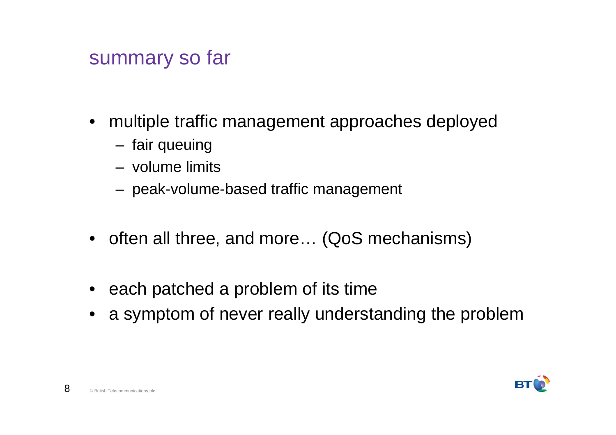## summary so far

- multiple traffic management approaches deployed
	- –fair queuing
	- –volume limits
	- –peak-volume-based traffic management
- often all three, and more… (QoS mechanisms)
- each patched a problem of its time
- a symptom of never really understanding the problem

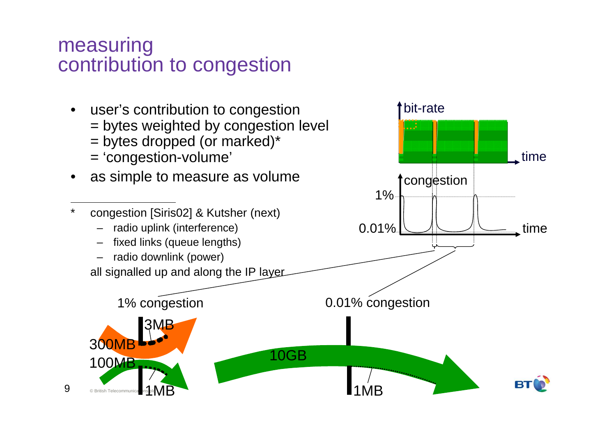### measuringcontribution to congestion

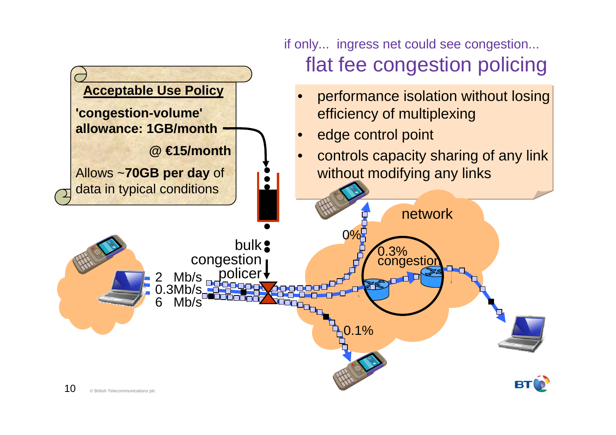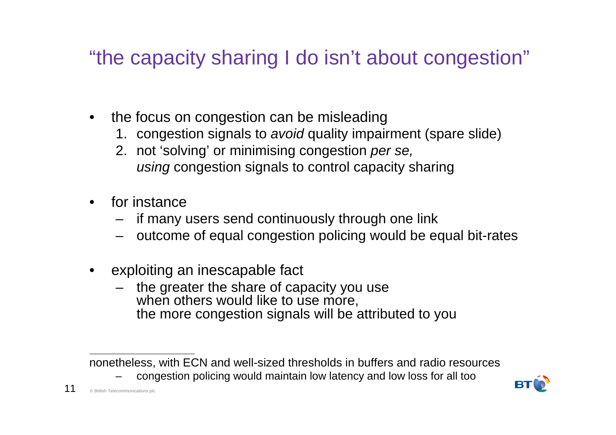# "the capacity sharing I do isn't about congestion"

- • the focus on congestion can be misleading
	- 1. congestion signals to avoid quality impairment (spare slide)
	- 2. not 'solving' or minimising congestion per se, *using* congestion signals to control capacity sharing
- $\bullet$  for instance
	- if many users send continuously through one link
	- outcome of equal congestion policing would be equal bit-rates
- • exploiting an inescapable fact
	- the greater the share of capacity you use when others would like to use more, the more congestion signals will be attributed to you

nonetheless, with ECN and well-sized thresholds in buffers and radio resources

congestion policing would maintain low latency and low loss for all too

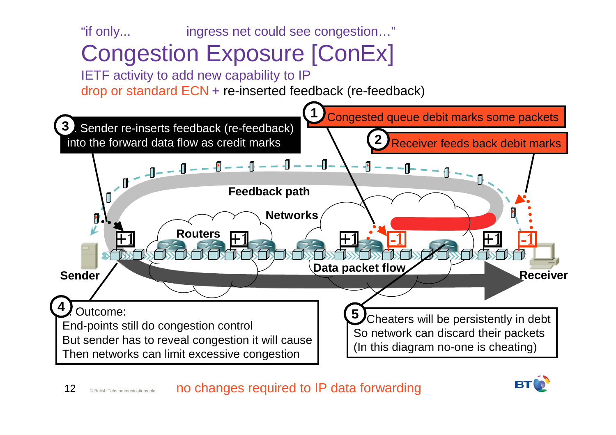

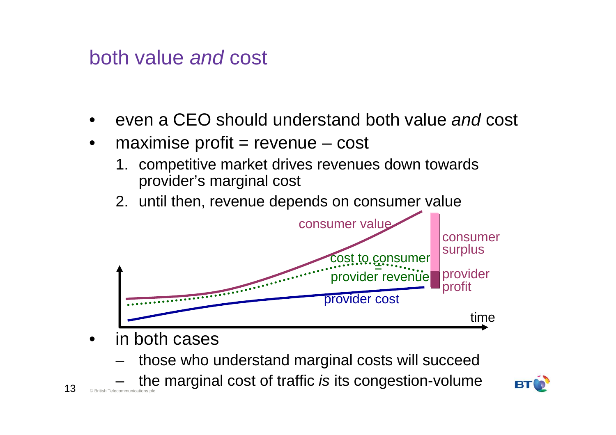## both value and cost

- •even a CEO should understand both value and cost
- • $maximise profit = revenue - cost$ 
	- 1. competitive market drives revenues down towards provider's marginal cost
	- 2. until then, revenue depends on consumer value



- • in both cases
	- those who understand marginal costs will succeed–
- © British Telecommunications plc the marginal cost of traffic is its congestion-volume –

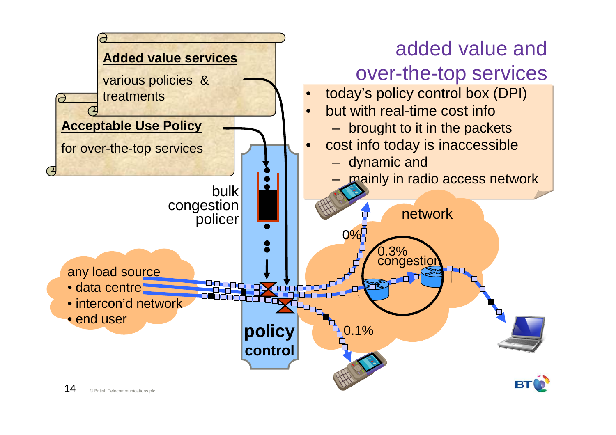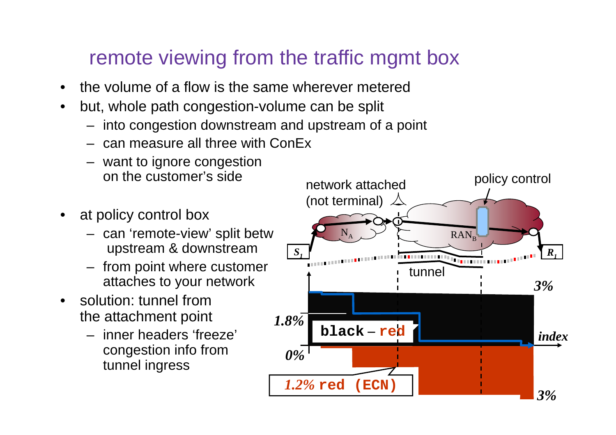# remote viewing from the traffic mgmt box

- $\bullet$ the volume of a flow is the same wherever metered
- • but, whole path congestion-volume can be split
	- into congestion downstream and upstream of a point
	- can measure all three with ConEx
	- want to ignore congestion on the customer's side
- • at policy control box
	- can 'remote-view' split betwupstream & downstream
	- from point where customer attaches to your network
- solution: tunnel from the attachment point
	- inner headers 'freeze' congestion info from tunnel ingress

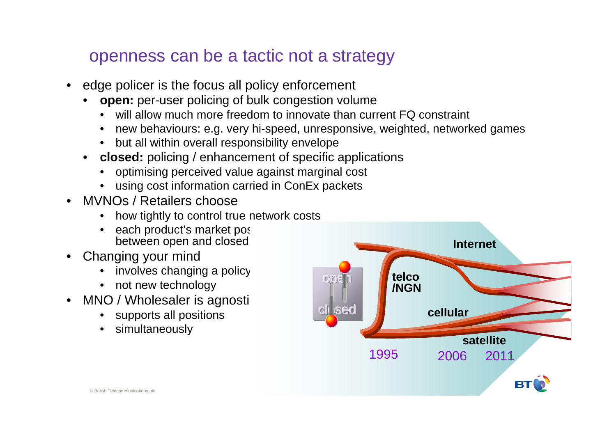#### openness can be a tactic not a strategy

- • edge policer is the focus all policy enforcement
	- • **open:** per-user policing of bulk congestion volume
		- will allow much more freedom to innovate than current FQ constraint
		- •new behaviours: e.g. very hi-speed, unresponsive, weighted, networked games
		- •but all within overall responsibility envelope
	- **closed:** policing / enhancement of specific applications•
		- •optimising perceived value against marginal cost
		- using cost information carried in ConEx packets
- • MVNOs / Retailers choose
	- how tightly to control true network costs•
	- •each product's market post between open and closed
- • Changing your mind
	- involves changing a policy•
	- •not new technology
- MNO / Wholesaler is agnosti •
	- •supports all positions
	- •simultaneously

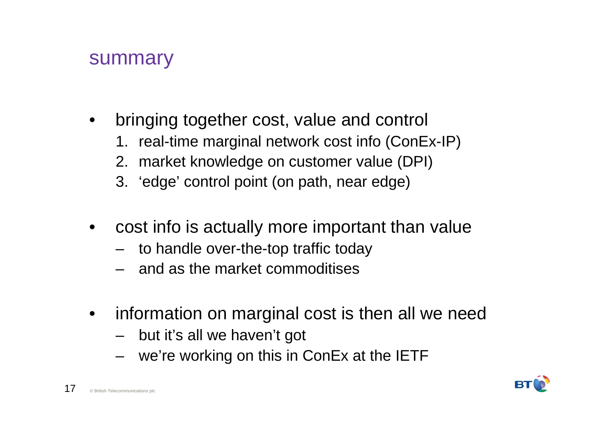#### summary

- • bringing together cost, value and control
	- 1. real-time marginal network cost info (ConEx-IP)
	- 2. market knowledge on customer value (DPI)
	- 3. 'edge' control point (on path, near edge)
- $\bullet$  cost info is actually more important than value
	- –to handle over-the-top traffic today
	- –and as the market commoditises
- $\bullet$  information on marginal cost is then all we need
	- –but it's all we haven't got
	- –we're working on this in ConEx at the IETF

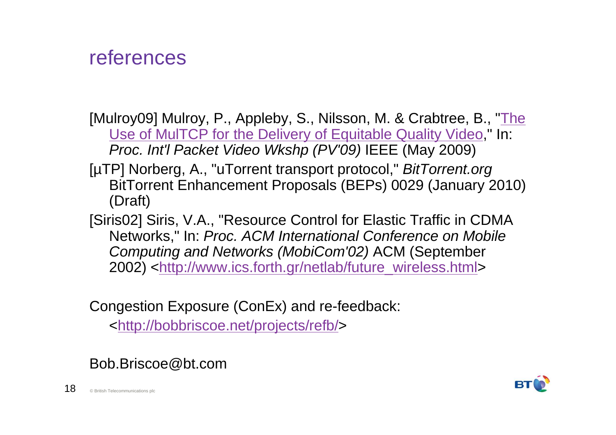## references

[Mulroy09] Mulroy, P., Appleby, S., Nilsson, M. & Crabtree, B., "The Use of MulTCP for the Delivery of Equitable Quality Video," In: Proc. Int'l Packet Video Wkshp (PV'09) IEEE (May 2009)

- [µTP] Norberg, A., "uTorrent transport protocol," BitTorrent.org BitTorrent Enhancement Proposals (BEPs) 0029 (January 2010) (Draft)
- [Siris02] Siris, V.A., "Resource Control for Elastic Traffic in CDMA Networks," In: Proc. ACM International Conference on Mobile Computing and Networks (MobiCom'02) ACM (September 2002) <http://www.ics.forth.gr/netlab/future\_wireless.html>

Congestion Exposure (ConEx) and re-feedback:

<http://bobbriscoe.net/projects/refb/>

#### Bob.Briscoe@bt.com

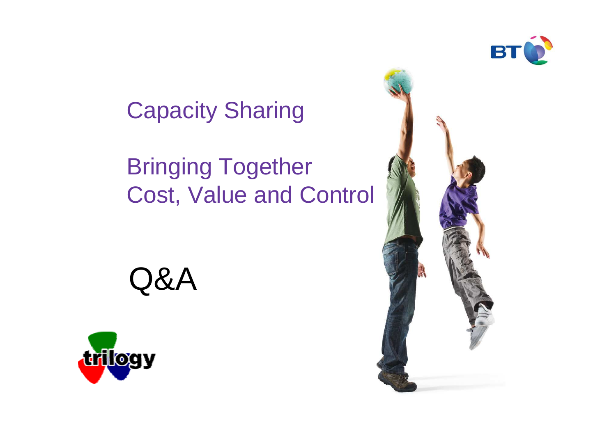

Capacity Sharing

# Bringing Together Cost, Value and Control

Q&A